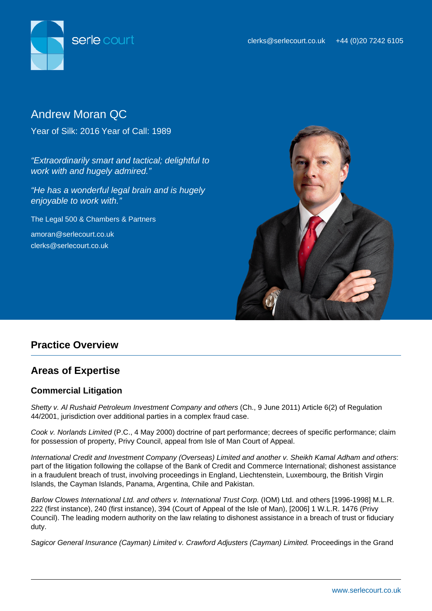

# Andrew Moran QC

Year of Silk: 2016 Year of Call: 1989

"Extraordinarily smart and tactical; delightful to work with and hugely admired."

"He has a wonderful legal brain and is hugely enjoyable to work with."

The Legal 500 & Chambers & Partners

amoran@serlecourt.co.uk clerks@serlecourt.co.uk



# **Practice Overview**

# **Areas of Expertise**

# **Commercial Litigation**

Shetty v. Al Rushaid Petroleum Investment Company and others (Ch., 9 June 2011) Article 6(2) of Regulation 44/2001, jurisdiction over additional parties in a complex fraud case.

Cook v. Norlands Limited (P.C., 4 May 2000) doctrine of part performance; decrees of specific performance; claim for possession of property, Privy Council, appeal from Isle of Man Court of Appeal.

International Credit and Investment Company (Overseas) Limited and another v. Sheikh Kamal Adham and others: part of the litigation following the collapse of the Bank of Credit and Commerce International; dishonest assistance in a fraudulent breach of trust, involving proceedings in England, Liechtenstein, Luxembourg, the British Virgin Islands, the Cayman Islands, Panama, Argentina, Chile and Pakistan.

Barlow Clowes International Ltd. and others v. International Trust Corp. (IOM) Ltd. and others [1996-1998] M.L.R. 222 (first instance), 240 (first instance), 394 (Court of Appeal of the Isle of Man), [2006] 1 W.L.R. 1476 (Privy Council). The leading modern authority on the law relating to dishonest assistance in a breach of trust or fiduciary duty.

Sagicor General Insurance (Cayman) Limited v. Crawford Adjusters (Cayman) Limited. Proceedings in the Grand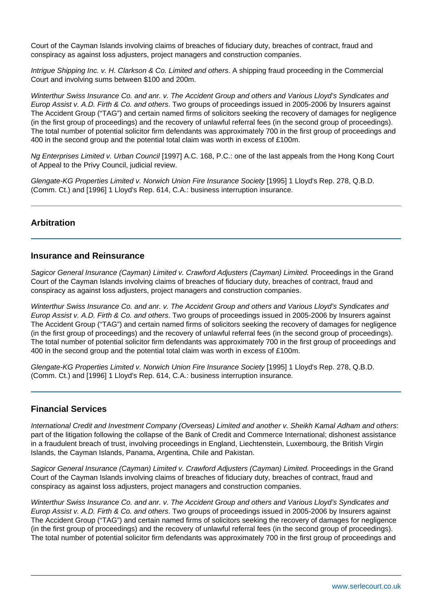Court of the Cayman Islands involving claims of breaches of fiduciary duty, breaches of contract, fraud and conspiracy as against loss adjusters, project managers and construction companies.

Intrigue Shipping Inc. v. H. Clarkson & Co. Limited and others. A shipping fraud proceeding in the Commercial Court and involving sums between \$100 and 200m.

Winterthur Swiss Insurance Co. and anr. v. The Accident Group and others and Various Lloyd's Syndicates and Europ Assist v. A.D. Firth & Co. and others. Two groups of proceedings issued in 2005-2006 by Insurers against The Accident Group ("TAG") and certain named firms of solicitors seeking the recovery of damages for negligence (in the first group of proceedings) and the recovery of unlawful referral fees (in the second group of proceedings). The total number of potential solicitor firm defendants was approximately 700 in the first group of proceedings and 400 in the second group and the potential total claim was worth in excess of £100m.

Ng Enterprises Limited v. Urban Council [1997] A.C. 168, P.C.: one of the last appeals from the Hong Kong Court of Appeal to the Privy Council, judicial review.

Glengate-KG Properties Limited v. Norwich Union Fire Insurance Society [1995] 1 Lloyd's Rep. 278, Q.B.D. (Comm. Ct.) and [1996] 1 Lloyd's Rep. 614, C.A.: business interruption insurance.

### **Arbitration**

#### **Insurance and Reinsurance**

Sagicor General Insurance (Cayman) Limited v. Crawford Adjusters (Cayman) Limited. Proceedings in the Grand Court of the Cayman Islands involving claims of breaches of fiduciary duty, breaches of contract, fraud and conspiracy as against loss adjusters, project managers and construction companies.

Winterthur Swiss Insurance Co. and anr. v. The Accident Group and others and Various Lloyd's Syndicates and Europ Assist v. A.D. Firth & Co. and others. Two groups of proceedings issued in 2005-2006 by Insurers against The Accident Group ("TAG") and certain named firms of solicitors seeking the recovery of damages for negligence (in the first group of proceedings) and the recovery of unlawful referral fees (in the second group of proceedings). The total number of potential solicitor firm defendants was approximately 700 in the first group of proceedings and 400 in the second group and the potential total claim was worth in excess of £100m.

Glengate-KG Properties Limited v. Norwich Union Fire Insurance Society [1995] 1 Lloyd's Rep. 278, Q.B.D. (Comm. Ct.) and [1996] 1 Lloyd's Rep. 614, C.A.: business interruption insurance.

# **Financial Services**

International Credit and Investment Company (Overseas) Limited and another v. Sheikh Kamal Adham and others: part of the litigation following the collapse of the Bank of Credit and Commerce International; dishonest assistance in a fraudulent breach of trust, involving proceedings in England, Liechtenstein, Luxembourg, the British Virgin Islands, the Cayman Islands, Panama, Argentina, Chile and Pakistan.

Sagicor General Insurance (Cayman) Limited v. Crawford Adjusters (Cayman) Limited. Proceedings in the Grand Court of the Cayman Islands involving claims of breaches of fiduciary duty, breaches of contract, fraud and conspiracy as against loss adjusters, project managers and construction companies.

Winterthur Swiss Insurance Co. and anr. v. The Accident Group and others and Various Lloyd's Syndicates and Europ Assist v. A.D. Firth & Co. and others. Two groups of proceedings issued in 2005-2006 by Insurers against The Accident Group ("TAG") and certain named firms of solicitors seeking the recovery of damages for negligence (in the first group of proceedings) and the recovery of unlawful referral fees (in the second group of proceedings). The total number of potential solicitor firm defendants was approximately 700 in the first group of proceedings and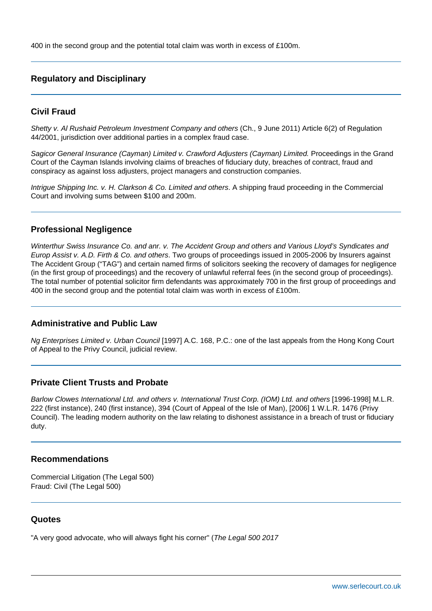400 in the second group and the potential total claim was worth in excess of £100m.

# **Regulatory and Disciplinary**

#### **Civil Fraud**

Shetty v. Al Rushaid Petroleum Investment Company and others (Ch., 9 June 2011) Article 6(2) of Regulation 44/2001, jurisdiction over additional parties in a complex fraud case.

Sagicor General Insurance (Cayman) Limited v. Crawford Adjusters (Cayman) Limited. Proceedings in the Grand Court of the Cayman Islands involving claims of breaches of fiduciary duty, breaches of contract, fraud and conspiracy as against loss adjusters, project managers and construction companies.

Intrigue Shipping Inc. v. H. Clarkson & Co. Limited and others. A shipping fraud proceeding in the Commercial Court and involving sums between \$100 and 200m.

#### **Professional Negligence**

Winterthur Swiss Insurance Co. and anr. v. The Accident Group and others and Various Lloyd's Syndicates and Europ Assist v. A.D. Firth & Co. and others. Two groups of proceedings issued in 2005-2006 by Insurers against The Accident Group ("TAG") and certain named firms of solicitors seeking the recovery of damages for negligence (in the first group of proceedings) and the recovery of unlawful referral fees (in the second group of proceedings). The total number of potential solicitor firm defendants was approximately 700 in the first group of proceedings and 400 in the second group and the potential total claim was worth in excess of £100m.

#### **Administrative and Public Law**

Ng Enterprises Limited v. Urban Council [1997] A.C. 168, P.C.: one of the last appeals from the Hong Kong Court of Appeal to the Privy Council, judicial review.

#### **Private Client Trusts and Probate**

Barlow Clowes International Ltd. and others v. International Trust Corp. (IOM) Ltd. and others [1996-1998] M.L.R. 222 (first instance), 240 (first instance), 394 (Court of Appeal of the Isle of Man), [2006] 1 W.L.R. 1476 (Privy Council). The leading modern authority on the law relating to dishonest assistance in a breach of trust or fiduciary duty.

#### **Recommendations**

Commercial Litigation (The Legal 500) Fraud: Civil (The Legal 500)

#### **Quotes**

"A very good advocate, who will always fight his corner" (The Legal 500 2017)